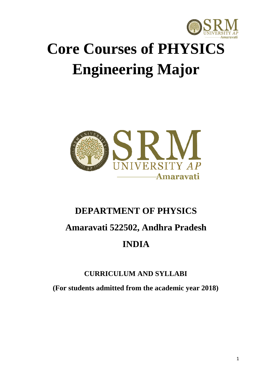

# **Core Courses of PHYSICS Engineering Major**



# **DEPARTMENT OF PHYSICS Amaravati 522502, Andhra Pradesh INDIA**

#### **CURRICULUM AND SYLLABI**

**(For students admitted from the academic year 2018)**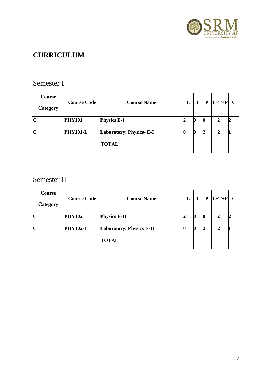

## **CURRICULUM**

#### Semester I

| <b>Course</b><br>Category | <b>Course Code</b> | <b>Course Name</b>             | L | T |                | $P  L+T+P  C$ |  |
|---------------------------|--------------------|--------------------------------|---|---|----------------|---------------|--|
| $\mathbf C$               | <b>PHY101</b>      | <b>Physics E-I</b>             |   |   | 10             |               |  |
| $\mathbf C$               | <b>PHY101-L</b>    | <b>Laboratory: Physics-E-I</b> |   | U | $\overline{2}$ |               |  |
|                           |                    | <b>TOTAL</b>                   |   |   |                |               |  |

### Semester II

| Course<br>Category | <b>Course Code</b> | <b>Course Name</b>              | L | T | P           | $ L+T+P $ C |  |
|--------------------|--------------------|---------------------------------|---|---|-------------|-------------|--|
| $\mathbf C$        | <b>PHY102</b>      | <b>Physics E-II</b>             |   |   | $ 0\rangle$ |             |  |
| $\mathbf C$        | <b>PHY102-L</b>    | <b>Laboratory: Physics E-II</b> |   | U | $\vert$ 2   | ∍           |  |
|                    |                    | <b>TOTAL</b>                    |   |   |             |             |  |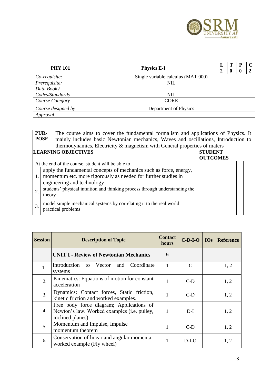

|                    | <b>PHY 101</b><br><b>Physics E-I</b> |  | - P |  |
|--------------------|--------------------------------------|--|-----|--|
|                    |                                      |  | O   |  |
| Co-requisite:      | Single variable calculus (MAT 000)   |  |     |  |
| Prerequisite:      | <b>NIL</b>                           |  |     |  |
| Data Book/         |                                      |  |     |  |
| Codes/Standards    | <b>NIL</b>                           |  |     |  |
| Course Category    | <b>CORE</b>                          |  |     |  |
| Course designed by | Department of Physics                |  |     |  |
| Approval           |                                      |  |     |  |

|                                                                 | PUR-<br>The course aims to cover the fundamental formalism and applications of Physics. It<br><b>POSE</b><br>mainly includes basic Newtonian mechanics, Waves and oscillations, Introduction to |  |  |  |  |  |  |  |
|-----------------------------------------------------------------|-------------------------------------------------------------------------------------------------------------------------------------------------------------------------------------------------|--|--|--|--|--|--|--|
|                                                                 | thermodynamics, Electricity & magnetism with General properties of maters                                                                                                                       |  |  |  |  |  |  |  |
| <b>LEARNING OBJECTIVES</b><br><b>STUDENT</b><br><b>OUTCOMES</b> |                                                                                                                                                                                                 |  |  |  |  |  |  |  |
|                                                                 | At the end of the course, student will be able to                                                                                                                                               |  |  |  |  |  |  |  |
|                                                                 | apply the fundamental concepts of mechanics such as force, energy,<br>momentum etc. more rigorously as needed for further studies in<br>engineering and technology                              |  |  |  |  |  |  |  |
|                                                                 | students' physical intuition and thinking process through understanding the<br>theory                                                                                                           |  |  |  |  |  |  |  |
| 3.                                                              | model simple mechanical systems by correlating it to the real world<br>practical problems                                                                                                       |  |  |  |  |  |  |  |

| <b>Session</b> | <b>Description of Topic</b>                                                                                 | <b>Contact</b><br>hours | $C-D-I-O$ | <b>IOs</b> | <b>Reference</b> |
|----------------|-------------------------------------------------------------------------------------------------------------|-------------------------|-----------|------------|------------------|
|                | <b>UNIT I - Review of Newtonian Mechanics</b>                                                               | 6                       |           |            |                  |
| 1.             | Introduction to Vector<br>Coordinate<br>and<br>systems                                                      |                         | C         |            | 1, 2             |
| 2.             | Kinematics: Equations of motion for constant<br>acceleration                                                |                         | $C-D$     |            | 1, 2             |
| 3.             | Dynamics: Contact forces, Static friction,<br>kinetic friction and worked examples.                         |                         | $C-D$     |            | 1, 2             |
| 4.             | Free body force diagram; Applications of<br>Newton's law. Worked examples (i.e. pulley,<br>inclined planes) | 1                       | $D-I$     |            | 1, 2             |
| 5.             | Momentum and Impulse, Impulse<br>momentum theorem                                                           | 1                       | $C-D$     |            | 1, 2             |
| 6.             | Conservation of linear and angular momenta,<br>worked example (Fly wheel)                                   |                         | $D-I-O$   |            | 1, 2             |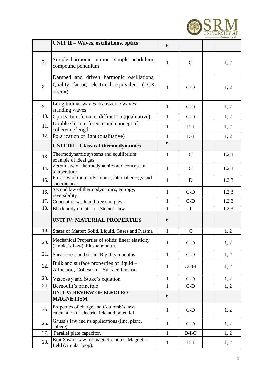

|     | <b>UNIT II - Waves, oscillations, optics</b>                                                       | 6            |              |       |
|-----|----------------------------------------------------------------------------------------------------|--------------|--------------|-------|
| 7.  | Simple harmonic motion: simple pendulum,<br>compound pendulum                                      | $\mathbf{1}$ | $\mathsf{C}$ | 1, 2  |
| 8.  | Damped and driven harmonic oscillations,<br>Quality factor; electrical equivalent (LCR<br>circuit) | $\mathbf{1}$ | $C-D$        | 1, 2  |
| 9.  | Longitudinal waves, transverse waves;<br>standing waves                                            | $\mathbf{1}$ | $C-D$        | 1, 2  |
| 10. | Optics: Interference, diffraction (qualitative)                                                    | $\mathbf{1}$ | $C-D$        | 1, 2  |
| 11. | Double slit interference and concept of<br>coherence length                                        | $\mathbf{1}$ | $D-I$        | 1, 2  |
| 12. | Polarization of light (qualitative)                                                                | $\mathbf 1$  | $D-I$        | 1, 2  |
|     | <b>UNIT III - Classical thermodynamics</b>                                                         | 6            |              |       |
| 13. | Thermodynamic systems and equilibrium:<br>example of ideal gas                                     | $\mathbf{1}$ | $\mathsf{C}$ | 1,2,3 |
| 14. | Zeroth law of thermodynamics and concept of<br>temperature                                         | $\mathbf{1}$ | $\mathbf C$  | 1,2,3 |
| 15. | First law of thermodynamics, internal energy and<br>specific heat                                  | $\mathbf{1}$ | $\mathbf D$  | 1,2,3 |
| 16. | Second law of thermodynamics, entropy,<br>reversibility                                            | $\mathbf{1}$ | $C-D$        | 1,2,3 |
| 17. | Concept of work and free energies                                                                  | 1            | $C-D$        | 1,2,3 |
| 18. | Black body radiation - Stefan's law                                                                | 1            | $\mathbf I$  | 1,2,3 |
|     | <b>UNIT IV: MATERIAL PROPERTIES</b>                                                                | 6            |              |       |
| 19. | States of Matter: Solid, Liquid, Gases and Plasma                                                  | 1            | $\mathsf{C}$ | 1, 2  |
| 20. | Mechanical Properties of solids: linear elasticity<br>(Hooke's Law). Elastic moduli.               | 1            | $C-D$        | 1, 2  |
| 21. | Shear stress and strain. Rigidity modulus                                                          | 1            | $C-D$        | 1, 2  |
| 22. | Bulk and surface properties of liquid –<br>Adhesion, Cohesion - Surface tension                    | $\mathbf{1}$ | $C-D-I$      | 1, 2  |
| 23. | Viscosity and Stoke's equation                                                                     | $\mathbf{1}$ | $C-D$        | 1, 2  |
| 24. | Bernoulli's principle                                                                              | 1            | $C-D$        | 1, 2  |
|     | UNIT V: REVIEW OF ELECTRO-<br><b>MAGNETISM</b>                                                     | 6            |              |       |
| 25. | Properties of charge and Coulomb's law,<br>calculation of electric field and potential             | $\mathbf{1}$ | $C-D$        | 1, 2  |
| 26. | Gauss's law and its applications (line, plane,<br>sphere)                                          | $\mathbf{1}$ | $C-D$        | 1, 2  |
| 27. | Parallel plate capacitor.                                                                          | 1            | $D-I-O$      | 1, 2  |
| 28. | Biot-Savart Law for magnetic fields, Magnetic<br>field (circular loop).                            | $\mathbf{1}$ | $D-I$        | 1, 2  |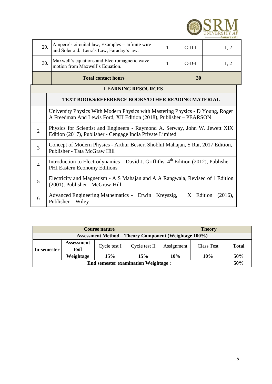

| 29.                       | Ampere's circuital law, Examples - Infinite wire<br>and Solenoid. Lenz's Law, Faraday's law.                                                         | 1 | $C-D-I$ |  | 1, 2 |  |  |  |  |
|---------------------------|------------------------------------------------------------------------------------------------------------------------------------------------------|---|---------|--|------|--|--|--|--|
| 30.                       | Maxwell's equations and Electromagnetic wave<br>motion from Maxwell's Equation.                                                                      | 1 | $C-D-I$ |  | 1, 2 |  |  |  |  |
|                           | <b>Total contact hours</b>                                                                                                                           |   | 30      |  |      |  |  |  |  |
| <b>LEARNING RESOURCES</b> |                                                                                                                                                      |   |         |  |      |  |  |  |  |
|                           | <b>TEXT BOOKS/REFERENCE BOOKS/OTHER READING MATERIAL</b>                                                                                             |   |         |  |      |  |  |  |  |
| $\mathbf{1}$              | University Physics With Modern Physics with Mastering Physics - D Young, Roger<br>A Freedman And Lewis Ford, XII Edition (2018), Publisher - PEARSON |   |         |  |      |  |  |  |  |
| 2                         | Physics for Scientist and Engineers - Raymond A. Serway, John W. Jewett XIX<br>Edition (2017), Publisher - Cengage India Private Limited             |   |         |  |      |  |  |  |  |
| 3                         | Concept of Modern Physics - Arthur Besier, Shobhit Mahajan, S Rai, 2017 Edition,<br>Publisher - Tata McGraw Hill                                     |   |         |  |      |  |  |  |  |
| $\overline{4}$            | Introduction to Electrodynamics - David J. Griffiths; 4 <sup>th</sup> Edition (2012), Publisher -<br>PHI Eastern Economy Editions                    |   |         |  |      |  |  |  |  |
| 5                         | Electricity and Magnetism - A S Mahajan and A A Rangwala, Revised of 1 Edition<br>(2001), Publisher - McGraw-Hill                                    |   |         |  |      |  |  |  |  |
| 6                         | Advanced Engineering Mathematics - Erwin Kreyszig,<br>X<br>Edition<br>(2016),<br>Publisher - Wiley                                                   |   |         |  |      |  |  |  |  |

|                                                              | <b>Course nature</b>      |              |               |            | <b>Theory</b> |              |  |
|--------------------------------------------------------------|---------------------------|--------------|---------------|------------|---------------|--------------|--|
| <b>Assessment Method – Theory Component (Weightage 100%)</b> |                           |              |               |            |               |              |  |
| In-semester                                                  | <b>Assessment</b><br>tool | Cycle test I | Cycle test II | Assignment | Class Test    | <b>Total</b> |  |
|                                                              | Weightage                 | 15%          | 15%           | 10%        | 10%           | 50%          |  |
| <b>End semester examination Weightage:</b>                   |                           |              |               |            |               |              |  |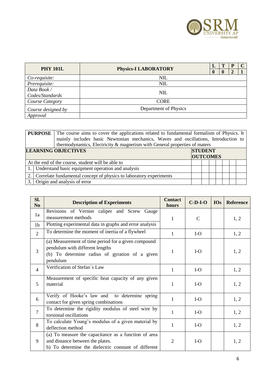

| <b>PHY 101L</b>    | L<br><b>Physics-I LABORATORY</b> |  |              |   |  |
|--------------------|----------------------------------|--|--------------|---|--|
|                    |                                  |  | $\mathbf{0}$ | 2 |  |
| Co-requisite:      | <b>NIL</b>                       |  |              |   |  |
| Prerequisite:      | <b>NIL</b>                       |  |              |   |  |
| Data Book/         | <b>NIL</b>                       |  |              |   |  |
| Codes/Standards    |                                  |  |              |   |  |
| Course Category    | <b>CORE</b>                      |  |              |   |  |
| Course designed by | Department of Physics            |  |              |   |  |
| Approval           |                                  |  |              |   |  |

| <b>PURPOSE</b> The course aims to cover the applications related to fundamental formalism of Physics. It<br>mainly includes basic Newtonian mechanics, Waves and oscillations, Introduction to<br>thermodynamics, Electricity & magnetism with General properties of maters |                                                      |  |  |  |                                   |  |  |  |  |
|-----------------------------------------------------------------------------------------------------------------------------------------------------------------------------------------------------------------------------------------------------------------------------|------------------------------------------------------|--|--|--|-----------------------------------|--|--|--|--|
| <b>LEARNING OBJECTIVES</b>                                                                                                                                                                                                                                                  |                                                      |  |  |  | <b>STUDENT</b><br><b>OUTCOMES</b> |  |  |  |  |
|                                                                                                                                                                                                                                                                             | At the end of the course, student will be able to    |  |  |  |                                   |  |  |  |  |
|                                                                                                                                                                                                                                                                             | 1. Understand basic equipment operation and analysis |  |  |  |                                   |  |  |  |  |
| 2. Correlate fundamental concept of physics to laboratory experiments                                                                                                                                                                                                       |                                                      |  |  |  |                                   |  |  |  |  |
|                                                                                                                                                                                                                                                                             | 3. Origin and analysis of error                      |  |  |  |                                   |  |  |  |  |

| Sl.<br>N <sub>0</sub> | <b>Description of Experiments</b>                                                                                                                    | <b>Contact</b><br>hours | $C-D-I-O$     | <b>IOs</b> | <b>Reference</b> |
|-----------------------|------------------------------------------------------------------------------------------------------------------------------------------------------|-------------------------|---------------|------------|------------------|
| 1a                    | Revisions of Vernier caliper and Screw Gauge<br>measurement methods                                                                                  | $\mathbf{1}$            | $\mathcal{C}$ |            | 1, 2             |
| 1 <sub>b</sub>        | Plotting experimental data in graphs and error analysis                                                                                              |                         |               |            |                  |
| 2                     | To determine the moment of inertia of a flywheel                                                                                                     | 1                       | $I-O$         |            | 1, 2             |
| $\overline{3}$        | (a) Measurement of time period for a given compound<br>pendulum with different lengths<br>(b) To determine radius of gyration of a given<br>pendulum | 1                       | $I-O$         |            | 1, 2             |
| $\overline{4}$        | Verification of Stefan's Law                                                                                                                         | 1                       | $I-O$         |            | 1, 2             |
| 5                     | Measurement of specific heat capacity of any given<br>material                                                                                       | 1                       | $I-O$         |            | 1, 2             |
| 6                     | Verify of Hooke's law and to determine spring<br>contact for given spring combinations                                                               | $\mathbf{1}$            | $I-O$         |            | 1, 2             |
| $\overline{7}$        | To determine the rigidity modulus of steel wire by<br>torsional oscillations                                                                         | 1                       | $I-O$         |            | 1, 2             |
| 8                     | To calculate Young's modulus of a given material by<br>deflection method                                                                             | 1                       | $I-O$         |            | 1, 2             |
| 9                     | (a) To measure the capacitance as a function of area<br>and distance between the plates.<br>b) To determine the dielectric constant of different     | $\overline{2}$          | $I-O$         |            | 1, 2             |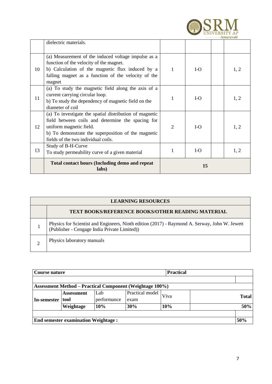

|    | dielectric materials.                                                                                                                                                                                                                 |                |       |  |      |
|----|---------------------------------------------------------------------------------------------------------------------------------------------------------------------------------------------------------------------------------------|----------------|-------|--|------|
| 10 | (a) Measurement of the induced voltage impulse as a<br>function of the velocity of the magnet.<br>b) Calculation of the magnetic flux induced by a<br>falling magnet as a function of the velocity of the<br>magnet                   | 1              | $I-O$ |  | 1, 2 |
| 11 | (a) To study the magnetic field along the axis of a<br>current carrying circular loop.<br>b) To study the dependency of magnetic field on the<br>diameter of coil                                                                     |                | $I-O$ |  | 1, 2 |
| 12 | (a) To investigate the spatial distribution of magnetic<br>field between coils and determine the spacing for<br>uniform magnetic field.<br>b) To demonstrate the superposition of the magnetic<br>fields of the two individual coils. | $\overline{2}$ | $I-O$ |  | 1, 2 |
| 13 | Study of B-H-Curve<br>To study permeability curve of a given material                                                                                                                                                                 |                | $I-O$ |  | 1, 2 |
|    | <b>Total contact hours (Including demo and repeat</b><br>labs)                                                                                                                                                                        | 15             |       |  |      |

| <b>LEARNING RESOURCES</b>                                                                                                                  |  |  |  |  |  |  |  |  |
|--------------------------------------------------------------------------------------------------------------------------------------------|--|--|--|--|--|--|--|--|
| <b>TEXT BOOKS/REFERENCE BOOKS/OTHER READING MATERIAL</b>                                                                                   |  |  |  |  |  |  |  |  |
| Physics for Scientist and Engineers, Ninth edition (2017) - Raymond A. Serway, John W. Jewett (Publisher - Cengage India Private Limited)) |  |  |  |  |  |  |  |  |
| Physics laboratory manuals                                                                                                                 |  |  |  |  |  |  |  |  |

| Course nature |                                            |             |                                                                 |      |              |
|---------------|--------------------------------------------|-------------|-----------------------------------------------------------------|------|--------------|
|               |                                            |             |                                                                 |      |              |
|               |                                            |             | <b>Assessment Method – Practical Component (Weightage 100%)</b> |      |              |
|               | <b>Assessment</b>                          | Lab         | Practical model                                                 | Viva | <b>Total</b> |
| In-semester   | tool                                       | performance | exam                                                            |      |              |
|               | Weightage                                  | 10%         | 30%                                                             | 10%  | 50%          |
|               |                                            |             |                                                                 |      |              |
|               | <b>End semester examination Weightage:</b> |             |                                                                 |      | 50%          |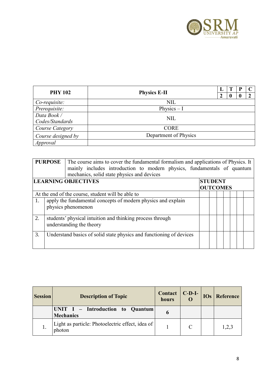

| <b>PHY 102</b>                 | <b>Physics E-II</b>   |  |  |  |
|--------------------------------|-----------------------|--|--|--|
| Co-requisite:                  | <b>NIL</b>            |  |  |  |
| Prerequisite:                  | Physics $-I$          |  |  |  |
| Data Book /<br>Codes/Standards | <b>NIL</b>            |  |  |  |
| Course Category                | <b>CORE</b>           |  |  |  |
| Course designed by             | Department of Physics |  |  |  |
| Approval                       |                       |  |  |  |

| <b>PURPOSE</b><br>The course aims to cover the fundamental formalism and applications of Physics. It<br>mainly includes introduction to modern physics, fundamentals of quantum<br>mechanics, solid state physics and devices |  |                                                                     |  |  |  |  |  |  |
|-------------------------------------------------------------------------------------------------------------------------------------------------------------------------------------------------------------------------------|--|---------------------------------------------------------------------|--|--|--|--|--|--|
| <b>LEARNING OBJECTIVES</b><br><b>STUDENT</b><br><b>OUTCOMES</b>                                                                                                                                                               |  |                                                                     |  |  |  |  |  |  |
|                                                                                                                                                                                                                               |  |                                                                     |  |  |  |  |  |  |
|                                                                                                                                                                                                                               |  | At the end of the course, student will be able to                   |  |  |  |  |  |  |
| 1.                                                                                                                                                                                                                            |  | apply the fundamental concepts of modern physics and explain        |  |  |  |  |  |  |
|                                                                                                                                                                                                                               |  | physics phenomenon                                                  |  |  |  |  |  |  |
| 2.                                                                                                                                                                                                                            |  | students' physical intuition and thinking process through           |  |  |  |  |  |  |
|                                                                                                                                                                                                                               |  | understanding the theory                                            |  |  |  |  |  |  |
| 3.                                                                                                                                                                                                                            |  | Understand basics of solid state physics and functioning of devices |  |  |  |  |  |  |
|                                                                                                                                                                                                                               |  |                                                                     |  |  |  |  |  |  |

| <b>Session</b> | <b>Description of Topic</b>                                | $\text{Context} \mid \text{C-D-I-}$<br>hours |  | <b>IOs</b> Reference |
|----------------|------------------------------------------------------------|----------------------------------------------|--|----------------------|
|                | UNIT I - Introduction to Quantum<br><b>Mechanics</b>       |                                              |  |                      |
|                | Light as particle: Photoelectric effect, idea of<br>photon |                                              |  | 1,2,3                |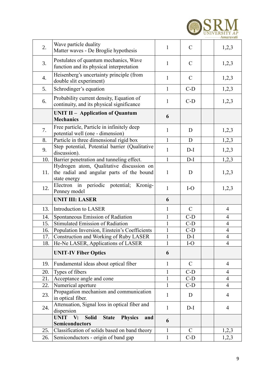

| 2.  | Wave particle duality<br>Matter waves - De Broglie hypothesis                                         | 1                 | $\mathsf{C}$  | 1,2,3          |
|-----|-------------------------------------------------------------------------------------------------------|-------------------|---------------|----------------|
| 3.  | Postulates of quantum mechanics, Wave<br>function and its physical interpretation                     | 1                 | $\mathbf C$   | 1,2,3          |
| 4.  | Heisenberg's uncertainty principle (from<br>double slit experiment)                                   | $\mathbf{1}$      | $\mathcal{C}$ | 1,2,3          |
| 5.  | Schrodinger's equation                                                                                | $\mathbf{1}$      | $C-D$         | 1,2,3          |
| 6.  | Probability current density, Equation of<br>continuity, and its physical significance                 | $\mathbf{1}$      | $C-D$         | 1,2,3          |
|     | <b>UNIT II – Application of Quantum</b><br><b>Mechanics</b>                                           | 6                 |               |                |
| 7.  | Free particle, Particle in infinitely deep<br>potential well (one - dimension)                        | 1                 | D             | 1,2,3          |
| 8.  | Particle in three dimensional rigid box                                                               | 1                 | D             | 1,2,3          |
| 9.  | Step potential, Potential barrier (Qualitative<br>discussion).                                        | $\mathbf{1}$      | $D-I$         | 1,2,3          |
| 10. | Barrier penetration and tunneling effect.                                                             | $\mathbf{1}$      | $D-I$         | 1,2,3          |
| 11. | Hydrogen atom, Qualitative discussion on<br>the radial and angular parts of the bound<br>state energy | $\mathbf{1}$      | D             | 1,2,3          |
| 12. | Electron in periodic potential;<br>Kronig-<br>Penney model                                            | $\mathbf{1}$      | $I-O$         | 1,2,3          |
|     | <b>UNIT III: LASER</b>                                                                                | 6                 |               |                |
| 13. | Introduction to LASER                                                                                 | 1                 | $\mathcal{C}$ | $\overline{4}$ |
| 14. | Spontaneous Emission of Radiation                                                                     | $\mathbf{1}$      | $C-D$         | 4              |
| 15. | <b>Stimulated Emission of Radiation</b>                                                               | $\mathbf{1}$      | $C-D$         | 4              |
| 16. | Population Inversion, Einstein's Coefficients                                                         | $\mathbf{1}$      | $C-D$         | $\overline{4}$ |
| 17. | Construction and Working of Ruby LASER                                                                | $\mathbf{1}$      | $D-I$         | $\overline{4}$ |
| 18. | He-Ne LASER, Applications of LASER                                                                    | $\mathbf{1}$      | $I-O$         | $\overline{4}$ |
|     | <b>UNIT-IV Fiber Optics</b>                                                                           | 6                 |               |                |
| 19. | Fundamental ideas about optical fiber                                                                 | 1                 | $\mathcal{C}$ | $\overline{4}$ |
| 20. |                                                                                                       |                   |               |                |
| 21. | Types of fibers                                                                                       | $\mathbf{1}$      | $C-D$         | 4              |
|     | Acceptance angle and cone                                                                             | $\mathbf{1}$      | $C-D$         | $\overline{4}$ |
| 22. | Numerical aperture                                                                                    | $\mathbf{1}$      | $C-D$         | $\overline{4}$ |
| 23. | Propagation mechanism and communication<br>in optical fiber.                                          | $\mathbf{1}$      | D             | $\overline{4}$ |
| 24. | Attenuation, Signal loss in optical fiber and<br>dispersion                                           | 1                 | $D-I$         | $\overline{4}$ |
|     | <b>UNIT</b><br><b>Solid</b><br><b>Physics</b><br>V:<br><b>State</b><br>and                            |                   |               |                |
|     | <b>Semiconductors</b>                                                                                 | 6                 |               |                |
| 25. | Classification of solids based on band theory                                                         | 1<br>$\mathbf{1}$ | $\mathbf C$   | 1,2,3          |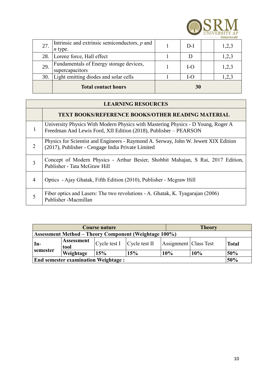

| 27. | Intrinsic and extrinsic semiconductors, $p$ and<br>$n$ type. | $D-I$ | 1,2,3 |
|-----|--------------------------------------------------------------|-------|-------|
| 28. | Lorenz force, Hall effect                                    |       | 1,2,3 |
| 29. | Fundamentals of Energy storage devices,<br>supercapacitors   | I-O   | 1,2,3 |
| 30. | Light emitting diodes and solar cells                        | I-O   | 1,2,3 |
|     | <b>Total contact hours</b>                                   | 30    |       |

#### **LEARNING RESOURCES**

|                | <b>TEXT BOOKS/REFERENCE BOOKS/OTHER READING MATERIAL</b>                                                                                             |
|----------------|------------------------------------------------------------------------------------------------------------------------------------------------------|
|                | University Physics With Modern Physics with Mastering Physics - D Young, Roger A<br>Freedman And Lewis Ford, XII Edition (2018), Publisher – PEARSON |
| $\overline{2}$ | Physics for Scientist and Engineers - Raymond A. Serway, John W. Jewett XIX Edition<br>(2017), Publisher - Cengage India Private Limited             |
| 3              | Concept of Modern Physics - Arthur Besier, Shobhit Mahajan, S Rai, 2017 Edition,<br>Publisher - Tata McGraw Hill                                     |
| 4              | Optics - Ajay Ghatak, Fifth Edition (2010), Publisher - Megraw Hill                                                                                  |
| 5              | Fiber optics and Lasers: The two revolutions - A. Ghatak, K. Tyagarajan (2006)<br>Publisher -Macmillan                                               |

| Course nature                                     |                                                              |                                  |     |                       | <b>Theory</b> |              |  |  |  |
|---------------------------------------------------|--------------------------------------------------------------|----------------------------------|-----|-----------------------|---------------|--------------|--|--|--|
|                                                   | <b>Assessment Method – Theory Component (Weightage 100%)</b> |                                  |     |                       |               |              |  |  |  |
| In-                                               | <b>Assessment</b><br>tool                                    | $Cycle$ test $I$ $Cycle$ test II |     | Assignment Class Test |               | <b>Total</b> |  |  |  |
| semester                                          | Weightage                                                    | 15%                              | 15% | 10%                   | 10%           | 50%          |  |  |  |
| 50%<br><b>End semester examination Weightage:</b> |                                                              |                                  |     |                       |               |              |  |  |  |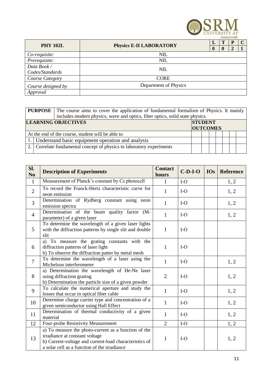

|                    | <b>PHY 102L</b>                |  |              |                       |  |
|--------------------|--------------------------------|--|--------------|-----------------------|--|
|                    | <b>Physics E-II LABORATORY</b> |  | $\mathbf{0}$ | $\mathcal{D}_{\cdot}$ |  |
| Co-requisite:      | <b>NIL</b>                     |  |              |                       |  |
| Prerequisite:      | <b>NIL</b>                     |  |              |                       |  |
| Data Book/         | <b>NIL</b>                     |  |              |                       |  |
| Codes/Standards    |                                |  |              |                       |  |
| Course Category    | <b>CORE</b>                    |  |              |                       |  |
| Course designed by | Department of Physics          |  |              |                       |  |
| Approval           |                                |  |              |                       |  |

| <b>PURPOSE</b> The course aims to cover the application of fundamental formalism of Physics. It mainly<br>includes modern physics, wave and optics, fiber optics, solid state physics. |                                                                       |  |  |  |  |  |  |  |
|----------------------------------------------------------------------------------------------------------------------------------------------------------------------------------------|-----------------------------------------------------------------------|--|--|--|--|--|--|--|
| <b>LEARNING OBJECTIVES</b><br><b>STUDENT</b><br><b>OUTCOMES</b>                                                                                                                        |                                                                       |  |  |  |  |  |  |  |
|                                                                                                                                                                                        | At the end of the course, student will be able to                     |  |  |  |  |  |  |  |
|                                                                                                                                                                                        | 1. Understand basic equipment operation and analysis                  |  |  |  |  |  |  |  |
|                                                                                                                                                                                        | 2. Correlate fundamental concept of physics to laboratory experiments |  |  |  |  |  |  |  |

| Sl.<br>N <sub>o</sub> | <b>Description of Experiments</b>                                                                                                                                                                | <b>Contact</b><br>hours | $C-D-I-O$ | IOs | <b>Reference</b> |
|-----------------------|--------------------------------------------------------------------------------------------------------------------------------------------------------------------------------------------------|-------------------------|-----------|-----|------------------|
| $\mathbf{1}$          | Measurement of Planck's constant by Cs photocell                                                                                                                                                 | 1                       | $I-O$     |     | 1, 2             |
| $\overline{2}$        | To record the Franck-Hertz characteristic curve for<br>neon emission                                                                                                                             | 1                       | $I-O$     |     | 1, 2             |
| $\overline{3}$        | Determination of Rydberg constant using neon<br>emission spectra                                                                                                                                 | $\mathbf{1}$            | $I-O$     |     | 1, 2             |
| $\overline{4}$        | Determination of the beam quality factor (M-<br>parameter) of a given laser                                                                                                                      | $\mathbf{1}$            | $I-O$     |     | 1, 2             |
| 5                     | To determine the wavelength of $\overline{a}$ given laser lights<br>with the diffraction patterns by single slit and double<br>slit                                                              | $\mathbf{1}$            | $I-O$     |     |                  |
| 6                     | a) To measure the grating constants with the<br>diffraction patterns of laser light<br>b) To observe the diffraction patter by metal mesh                                                        | $\mathbf{1}$            | $I-O$     |     |                  |
| $\overline{7}$        | To determine the wavelength of a laser using the<br>Michelson interferometer                                                                                                                     | $\mathbf{1}$            | $I-O$     |     | 1, 2             |
| 8                     | a) Determination the wavelength of He-Ne laser<br>using diffraction grating<br>b) Determination the particle size of a given powder                                                              | $\overline{2}$          | $I-O$     |     | 1, 2             |
| 9                     | To calculate the numerical aperture and study the<br>losses that occur in optical fiber cable                                                                                                    | $\mathbf{1}$            | $I-O$     |     | 1, 2             |
| 10                    | Determine charge carrier type and concentration of a<br>given semiconductor using Hall Effect                                                                                                    | $\mathbf{1}$            | $I-O$     |     | 1, 2             |
| 11                    | Determination of thermal conductivity of a given<br>material                                                                                                                                     | $\mathbf{1}$            | $I-O$     |     | 1, 2             |
| 12                    | Four-probe Resistivity Measurement                                                                                                                                                               | $\overline{2}$          | $I-O$     |     | 1, 2             |
| 13                    | a) To measure the photo-current as a function of the<br>irradiance at constant voltage<br>b) Current-voltage and current-load characteristics of<br>a solar cell as a function of the irradiance | $\mathbf{1}$            | $I-O$     |     | 1, 2             |